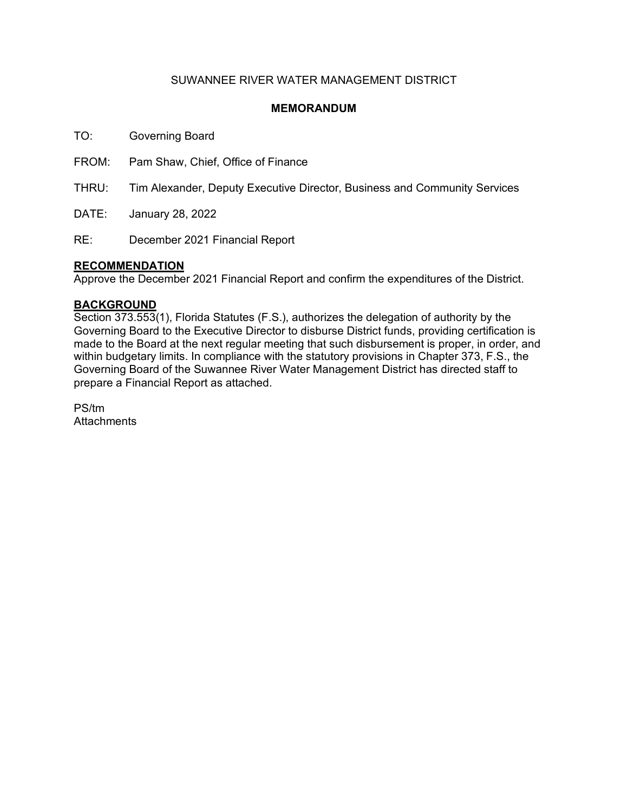## SUWANNEE RIVER WATER MANAGEMENT DISTRICT

### **MEMORANDUM**

TO: Governing Board

FROM: Pam Shaw, Chief, Office of Finance

THRU: Tim Alexander, Deputy Executive Director, Business and Community Services

DATE: January 28, 2022

RE: December 2021 Financial Report

### **RECOMMENDATION**

Approve the December 2021 Financial Report and confirm the expenditures of the District.

### **BACKGROUND**

Section 373.553(1), Florida Statutes (F.S.), authorizes the delegation of authority by the Governing Board to the Executive Director to disburse District funds, providing certification is made to the Board at the next regular meeting that such disbursement is proper, in order, and within budgetary limits. In compliance with the statutory provisions in Chapter 373, F.S., the Governing Board of the Suwannee River Water Management District has directed staff to prepare a Financial Report as attached.

PS/tm **Attachments**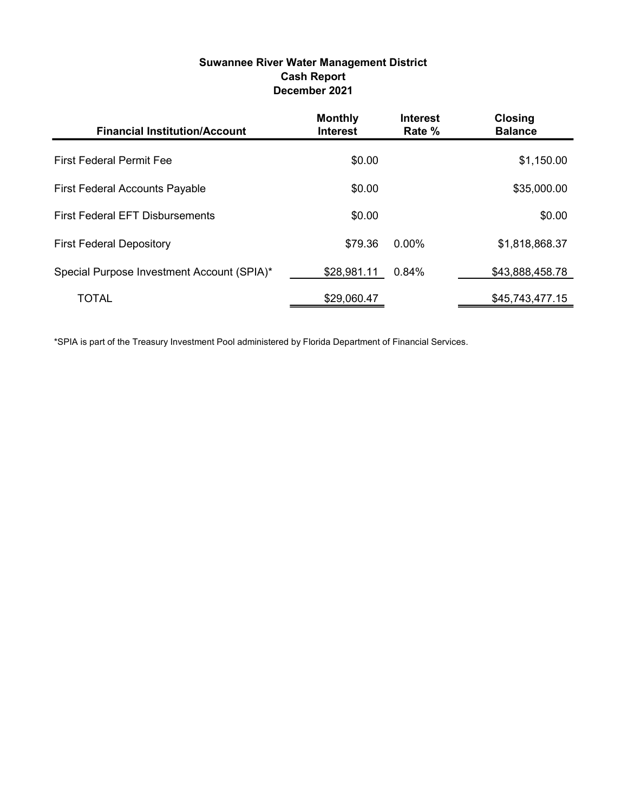# Suwannee River Water Management District Cash Report December 2021

| <b>Financial Institution/Account</b>       | <b>Monthly</b><br><b>Interest</b> | <b>Interest</b><br>Rate % | <b>Closing</b><br><b>Balance</b> |
|--------------------------------------------|-----------------------------------|---------------------------|----------------------------------|
| <b>First Federal Permit Fee</b>            | \$0.00                            |                           | \$1,150.00                       |
| <b>First Federal Accounts Payable</b>      | \$0.00                            |                           | \$35,000.00                      |
| <b>First Federal EFT Disbursements</b>     | \$0.00                            |                           | \$0.00                           |
| <b>First Federal Depository</b>            | \$79.36                           | $0.00\%$                  | \$1,818,868.37                   |
| Special Purpose Investment Account (SPIA)* | \$28,981.11                       | 0.84%                     | \$43,888,458.78                  |
| <b>TOTAL</b>                               | \$29,060.47                       |                           | \$45,743,477.15                  |

\*SPIA is part of the Treasury Investment Pool administered by Florida Department of Financial Services.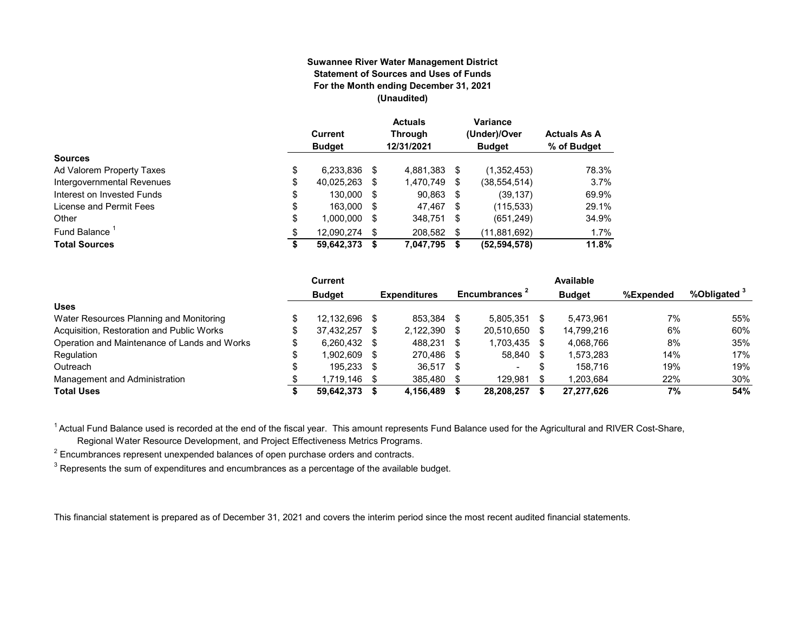#### **Suwannee River Water Management District Statement of Sources and Uses of Funds For the Month ending December 31, 2021 (Unaudited)**

|                                  | Current<br><b>Budget</b> |      | <b>Actuals</b><br><b>Through</b><br>12/31/2021 |    | Variance<br>(Under)/Over<br><b>Budget</b> | <b>Actuals As A</b><br>% of Budget |
|----------------------------------|--------------------------|------|------------------------------------------------|----|-------------------------------------------|------------------------------------|
| <b>Sources</b>                   |                          |      |                                                |    |                                           |                                    |
| \$<br>Ad Valorem Property Taxes  | 6,233,836                | S    | 4,881,383                                      | S  | (1,352,453)                               | 78.3%                              |
| Intergovernmental Revenues<br>\$ | 40,025,263               | S    | 1,470,749                                      | S  | (38, 554, 514)                            | 3.7%                               |
| \$<br>Interest on Invested Funds | 130.000                  | - \$ | 90,863 \$                                      |    | (39, 137)                                 | 69.9%                              |
| \$<br>License and Permit Fees    | 163,000                  | - \$ | 47,467 \$                                      |    | (115, 533)                                | 29.1%                              |
| \$<br>Other                      | 1,000,000                | S    | 348,751                                        | S  | (651, 249)                                | 34.9%                              |
| Fund Balance<br>\$               | 12.090.274               | S    | 208,582                                        | \$ | (11,881,692)                              | 1.7%                               |
| <b>Total Sources</b><br>\$       | 59,642,373               |      | 7,047,795                                      | S  | (52, 594, 578)                            | 11.8%                              |

|                                              |     | <b>Current</b> |      |                     |      |                           |      | Available     |           |                         |
|----------------------------------------------|-----|----------------|------|---------------------|------|---------------------------|------|---------------|-----------|-------------------------|
|                                              |     | <b>Budget</b>  |      | <b>Expenditures</b> |      | Encumbrances <sup>2</sup> |      | <b>Budget</b> | %Expended | %Obligated <sup>3</sup> |
| <b>Uses</b>                                  |     |                |      |                     |      |                           |      |               |           |                         |
| Water Resources Planning and Monitoring      |     | 12.132.696     |      | 853.384             | -S   | 5.805.351                 |      | 5.473.961     | 7%        | 55%                     |
| Acquisition, Restoration and Public Works    | \$. | 37.432.257     | S    | 2,122,390           | -S   | 20,510,650                | - \$ | 14.799.216    | 6%        | 60%                     |
| Operation and Maintenance of Lands and Works |     | $6.260.432$ \$ |      | 488.231             |      | 1.703.435                 |      | 4.068.766     | 8%        | 35%                     |
| Regulation                                   | \$  | 1.902.609      | - \$ | 270.486             | -S   | 58.840 \$                 |      | 1,573,283     | 14%       | 17%                     |
| Outreach                                     |     | 195.233 \$     |      | 36.517              | - \$ | -                         |      | 158.716       | 19%       | 19%                     |
| Management and Administration                |     | 1,719,146      | - \$ | 385,480             |      | 129.981                   |      | 1.203.684     | 22%       | 30%                     |
| <b>Total Uses</b>                            |     | 59.642.373     |      | 4,156,489           |      | 28,208,257                |      | 27,277,626    | 7%        | 54%                     |

<sup>1</sup> Actual Fund Balance used is recorded at the end of the fiscal year. This amount represents Fund Balance used for the Agricultural and RIVER Cost-Share,

Regional Water Resource Development, and Project Effectiveness Metrics Programs.

 $^{\text{2}}$  Encumbrances represent unexpended balances of open purchase orders and contracts.

 $^3$  Represents the sum of expenditures and encumbrances as a percentage of the available budget.

This financial statement is prepared as of December 31, 2021 and covers the interim period since the most recent audited financial statements.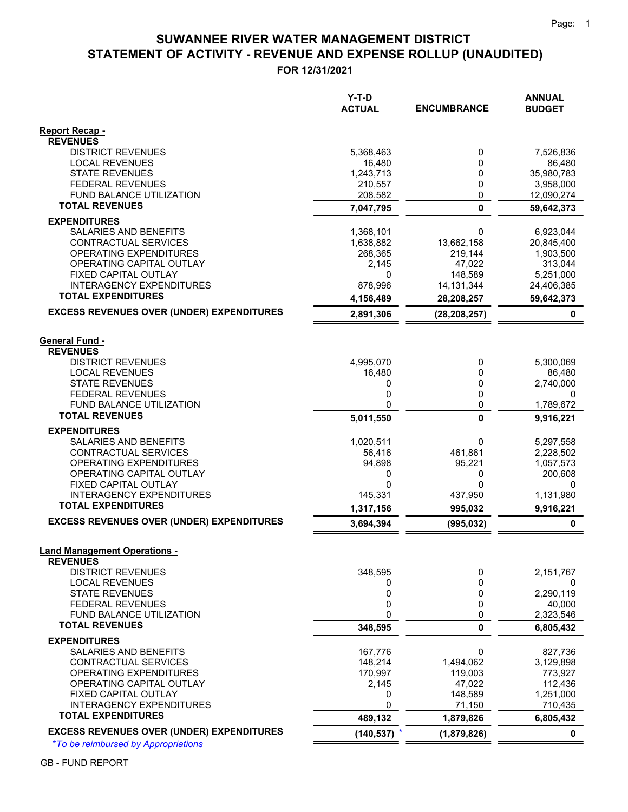# **STATEMENT OF ACTIVITY - REVENUE AND EXPENSE ROLLUP (UNAUDITED) SUWANNEE RIVER WATER MANAGEMENT DISTRICT**

**FOR 12/31/2021**

| <b>Report Recap -</b><br><b>REVENUES</b><br><b>DISTRICT REVENUES</b><br>5,368,463<br>0<br>7,526,836<br><b>LOCAL REVENUES</b><br>86,480<br>16,480<br>0<br><b>STATE REVENUES</b><br>0<br>35,980,783<br>1,243,713<br><b>FEDERAL REVENUES</b><br>210,557<br>0<br>3,958,000<br>0<br>FUND BALANCE UTILIZATION<br>208,582<br>12,090,274<br><b>TOTAL REVENUES</b><br>$\mathbf{0}$<br>7,047,795<br>59,642,373<br><b>EXPENDITURES</b><br>SALARIES AND BENEFITS<br>1,368,101<br>0<br>6,923,044<br>CONTRACTUAL SERVICES<br>13,662,158<br>1,638,882<br>20,845,400<br>OPERATING EXPENDITURES<br>268,365<br>219,144<br>1,903,500<br>OPERATING CAPITAL OUTLAY<br>2,145<br>47,022<br>313,044<br>FIXED CAPITAL OUTLAY<br>0<br>148,589<br>5,251,000<br><b>INTERAGENCY EXPENDITURES</b><br>878,996<br>14, 131, 344<br>24,406,385<br><b>TOTAL EXPENDITURES</b><br>28,208,257<br>59,642,373<br>4,156,489<br><b>EXCESS REVENUES OVER (UNDER) EXPENDITURES</b><br>2,891,306<br>(28, 208, 257)<br>0<br><b>General Fund -</b><br><b>REVENUES</b><br><b>DISTRICT REVENUES</b><br>4,995,070<br>5,300,069<br>0<br><b>LOCAL REVENUES</b><br>16,480<br>0<br>86,480<br><b>STATE REVENUES</b><br>0<br>0<br>2,740,000<br>0<br>FEDERAL REVENUES<br>0<br>0<br>0<br>0<br><b>FUND BALANCE UTILIZATION</b><br>1,789,672<br><b>TOTAL REVENUES</b><br>0<br>5,011,550<br>9,916,221<br><b>EXPENDITURES</b><br>SALARIES AND BENEFITS<br>1,020,511<br>0<br>5,297,558<br>CONTRACTUAL SERVICES<br>461,861<br>56,416<br>2,228,502<br><b>OPERATING EXPENDITURES</b><br>94,898<br>95,221<br>1,057,573<br>OPERATING CAPITAL OUTLAY<br>200,608<br>0<br>0<br>FIXED CAPITAL OUTLAY<br>$\Omega$<br>0<br>0<br><b>INTERAGENCY EXPENDITURES</b><br>145,331<br>437,950<br>1,131,980<br><b>TOTAL EXPENDITURES</b><br>1,317,156<br>995,032<br>9,916,221<br><b>EXCESS REVENUES OVER (UNDER) EXPENDITURES</b><br>3,694,394<br>(995, 032)<br>0<br><b>Land Management Operations -</b><br><b>REVENUES</b><br><b>DISTRICT REVENUES</b><br>348,595<br>2,151,767<br>0<br><b>LOCAL REVENUES</b><br>0<br>0<br>0<br>0<br><b>STATE REVENUES</b><br>0<br>2,290,119<br>0<br>0<br><b>FEDERAL REVENUES</b><br>40,000<br>FUND BALANCE UTILIZATION<br>0<br>0<br>2,323,546<br><b>TOTAL REVENUES</b><br>348,595<br>0<br>6,805,432<br><b>EXPENDITURES</b><br>SALARIES AND BENEFITS<br>167,776<br>0<br>827,736<br>148,214<br>1,494,062<br>CONTRACTUAL SERVICES<br>3,129,898<br>OPERATING EXPENDITURES<br>170,997<br>773,927<br>119,003<br>OPERATING CAPITAL OUTLAY<br>47,022<br>112,436<br>2,145<br>FIXED CAPITAL OUTLAY<br>0<br>148,589<br>1,251,000<br>0<br><b>INTERAGENCY EXPENDITURES</b><br>71,150<br>710,435<br><b>TOTAL EXPENDITURES</b><br>489,132<br>1,879,826<br>6,805,432<br><b>EXCESS REVENUES OVER (UNDER) EXPENDITURES</b><br>(140, 537)<br>(1,879,826)<br>0 | Y-T-D<br><b>ACTUAL</b> | <b>ENCUMBRANCE</b> | <b>ANNUAL</b><br><b>BUDGET</b> |
|------------------------------------------------------------------------------------------------------------------------------------------------------------------------------------------------------------------------------------------------------------------------------------------------------------------------------------------------------------------------------------------------------------------------------------------------------------------------------------------------------------------------------------------------------------------------------------------------------------------------------------------------------------------------------------------------------------------------------------------------------------------------------------------------------------------------------------------------------------------------------------------------------------------------------------------------------------------------------------------------------------------------------------------------------------------------------------------------------------------------------------------------------------------------------------------------------------------------------------------------------------------------------------------------------------------------------------------------------------------------------------------------------------------------------------------------------------------------------------------------------------------------------------------------------------------------------------------------------------------------------------------------------------------------------------------------------------------------------------------------------------------------------------------------------------------------------------------------------------------------------------------------------------------------------------------------------------------------------------------------------------------------------------------------------------------------------------------------------------------------------------------------------------------------------------------------------------------------------------------------------------------------------------------------------------------------------------------------------------------------------------------------------------------------------------------------------------------------------------------------------------------------------------------------------------------------------------------------------------------------------------------------------------------------------------------------------------------------------------------------------------------------------------------|------------------------|--------------------|--------------------------------|
|                                                                                                                                                                                                                                                                                                                                                                                                                                                                                                                                                                                                                                                                                                                                                                                                                                                                                                                                                                                                                                                                                                                                                                                                                                                                                                                                                                                                                                                                                                                                                                                                                                                                                                                                                                                                                                                                                                                                                                                                                                                                                                                                                                                                                                                                                                                                                                                                                                                                                                                                                                                                                                                                                                                                                                                          |                        |                    |                                |
|                                                                                                                                                                                                                                                                                                                                                                                                                                                                                                                                                                                                                                                                                                                                                                                                                                                                                                                                                                                                                                                                                                                                                                                                                                                                                                                                                                                                                                                                                                                                                                                                                                                                                                                                                                                                                                                                                                                                                                                                                                                                                                                                                                                                                                                                                                                                                                                                                                                                                                                                                                                                                                                                                                                                                                                          |                        |                    |                                |
|                                                                                                                                                                                                                                                                                                                                                                                                                                                                                                                                                                                                                                                                                                                                                                                                                                                                                                                                                                                                                                                                                                                                                                                                                                                                                                                                                                                                                                                                                                                                                                                                                                                                                                                                                                                                                                                                                                                                                                                                                                                                                                                                                                                                                                                                                                                                                                                                                                                                                                                                                                                                                                                                                                                                                                                          |                        |                    |                                |
|                                                                                                                                                                                                                                                                                                                                                                                                                                                                                                                                                                                                                                                                                                                                                                                                                                                                                                                                                                                                                                                                                                                                                                                                                                                                                                                                                                                                                                                                                                                                                                                                                                                                                                                                                                                                                                                                                                                                                                                                                                                                                                                                                                                                                                                                                                                                                                                                                                                                                                                                                                                                                                                                                                                                                                                          |                        |                    |                                |
|                                                                                                                                                                                                                                                                                                                                                                                                                                                                                                                                                                                                                                                                                                                                                                                                                                                                                                                                                                                                                                                                                                                                                                                                                                                                                                                                                                                                                                                                                                                                                                                                                                                                                                                                                                                                                                                                                                                                                                                                                                                                                                                                                                                                                                                                                                                                                                                                                                                                                                                                                                                                                                                                                                                                                                                          |                        |                    |                                |
|                                                                                                                                                                                                                                                                                                                                                                                                                                                                                                                                                                                                                                                                                                                                                                                                                                                                                                                                                                                                                                                                                                                                                                                                                                                                                                                                                                                                                                                                                                                                                                                                                                                                                                                                                                                                                                                                                                                                                                                                                                                                                                                                                                                                                                                                                                                                                                                                                                                                                                                                                                                                                                                                                                                                                                                          |                        |                    |                                |
|                                                                                                                                                                                                                                                                                                                                                                                                                                                                                                                                                                                                                                                                                                                                                                                                                                                                                                                                                                                                                                                                                                                                                                                                                                                                                                                                                                                                                                                                                                                                                                                                                                                                                                                                                                                                                                                                                                                                                                                                                                                                                                                                                                                                                                                                                                                                                                                                                                                                                                                                                                                                                                                                                                                                                                                          |                        |                    |                                |
|                                                                                                                                                                                                                                                                                                                                                                                                                                                                                                                                                                                                                                                                                                                                                                                                                                                                                                                                                                                                                                                                                                                                                                                                                                                                                                                                                                                                                                                                                                                                                                                                                                                                                                                                                                                                                                                                                                                                                                                                                                                                                                                                                                                                                                                                                                                                                                                                                                                                                                                                                                                                                                                                                                                                                                                          |                        |                    |                                |
|                                                                                                                                                                                                                                                                                                                                                                                                                                                                                                                                                                                                                                                                                                                                                                                                                                                                                                                                                                                                                                                                                                                                                                                                                                                                                                                                                                                                                                                                                                                                                                                                                                                                                                                                                                                                                                                                                                                                                                                                                                                                                                                                                                                                                                                                                                                                                                                                                                                                                                                                                                                                                                                                                                                                                                                          |                        |                    |                                |
|                                                                                                                                                                                                                                                                                                                                                                                                                                                                                                                                                                                                                                                                                                                                                                                                                                                                                                                                                                                                                                                                                                                                                                                                                                                                                                                                                                                                                                                                                                                                                                                                                                                                                                                                                                                                                                                                                                                                                                                                                                                                                                                                                                                                                                                                                                                                                                                                                                                                                                                                                                                                                                                                                                                                                                                          |                        |                    |                                |
|                                                                                                                                                                                                                                                                                                                                                                                                                                                                                                                                                                                                                                                                                                                                                                                                                                                                                                                                                                                                                                                                                                                                                                                                                                                                                                                                                                                                                                                                                                                                                                                                                                                                                                                                                                                                                                                                                                                                                                                                                                                                                                                                                                                                                                                                                                                                                                                                                                                                                                                                                                                                                                                                                                                                                                                          |                        |                    |                                |
|                                                                                                                                                                                                                                                                                                                                                                                                                                                                                                                                                                                                                                                                                                                                                                                                                                                                                                                                                                                                                                                                                                                                                                                                                                                                                                                                                                                                                                                                                                                                                                                                                                                                                                                                                                                                                                                                                                                                                                                                                                                                                                                                                                                                                                                                                                                                                                                                                                                                                                                                                                                                                                                                                                                                                                                          |                        |                    |                                |
|                                                                                                                                                                                                                                                                                                                                                                                                                                                                                                                                                                                                                                                                                                                                                                                                                                                                                                                                                                                                                                                                                                                                                                                                                                                                                                                                                                                                                                                                                                                                                                                                                                                                                                                                                                                                                                                                                                                                                                                                                                                                                                                                                                                                                                                                                                                                                                                                                                                                                                                                                                                                                                                                                                                                                                                          |                        |                    |                                |
|                                                                                                                                                                                                                                                                                                                                                                                                                                                                                                                                                                                                                                                                                                                                                                                                                                                                                                                                                                                                                                                                                                                                                                                                                                                                                                                                                                                                                                                                                                                                                                                                                                                                                                                                                                                                                                                                                                                                                                                                                                                                                                                                                                                                                                                                                                                                                                                                                                                                                                                                                                                                                                                                                                                                                                                          |                        |                    |                                |
|                                                                                                                                                                                                                                                                                                                                                                                                                                                                                                                                                                                                                                                                                                                                                                                                                                                                                                                                                                                                                                                                                                                                                                                                                                                                                                                                                                                                                                                                                                                                                                                                                                                                                                                                                                                                                                                                                                                                                                                                                                                                                                                                                                                                                                                                                                                                                                                                                                                                                                                                                                                                                                                                                                                                                                                          |                        |                    |                                |
|                                                                                                                                                                                                                                                                                                                                                                                                                                                                                                                                                                                                                                                                                                                                                                                                                                                                                                                                                                                                                                                                                                                                                                                                                                                                                                                                                                                                                                                                                                                                                                                                                                                                                                                                                                                                                                                                                                                                                                                                                                                                                                                                                                                                                                                                                                                                                                                                                                                                                                                                                                                                                                                                                                                                                                                          |                        |                    |                                |
|                                                                                                                                                                                                                                                                                                                                                                                                                                                                                                                                                                                                                                                                                                                                                                                                                                                                                                                                                                                                                                                                                                                                                                                                                                                                                                                                                                                                                                                                                                                                                                                                                                                                                                                                                                                                                                                                                                                                                                                                                                                                                                                                                                                                                                                                                                                                                                                                                                                                                                                                                                                                                                                                                                                                                                                          |                        |                    |                                |
|                                                                                                                                                                                                                                                                                                                                                                                                                                                                                                                                                                                                                                                                                                                                                                                                                                                                                                                                                                                                                                                                                                                                                                                                                                                                                                                                                                                                                                                                                                                                                                                                                                                                                                                                                                                                                                                                                                                                                                                                                                                                                                                                                                                                                                                                                                                                                                                                                                                                                                                                                                                                                                                                                                                                                                                          |                        |                    |                                |
|                                                                                                                                                                                                                                                                                                                                                                                                                                                                                                                                                                                                                                                                                                                                                                                                                                                                                                                                                                                                                                                                                                                                                                                                                                                                                                                                                                                                                                                                                                                                                                                                                                                                                                                                                                                                                                                                                                                                                                                                                                                                                                                                                                                                                                                                                                                                                                                                                                                                                                                                                                                                                                                                                                                                                                                          |                        |                    |                                |
|                                                                                                                                                                                                                                                                                                                                                                                                                                                                                                                                                                                                                                                                                                                                                                                                                                                                                                                                                                                                                                                                                                                                                                                                                                                                                                                                                                                                                                                                                                                                                                                                                                                                                                                                                                                                                                                                                                                                                                                                                                                                                                                                                                                                                                                                                                                                                                                                                                                                                                                                                                                                                                                                                                                                                                                          |                        |                    |                                |
|                                                                                                                                                                                                                                                                                                                                                                                                                                                                                                                                                                                                                                                                                                                                                                                                                                                                                                                                                                                                                                                                                                                                                                                                                                                                                                                                                                                                                                                                                                                                                                                                                                                                                                                                                                                                                                                                                                                                                                                                                                                                                                                                                                                                                                                                                                                                                                                                                                                                                                                                                                                                                                                                                                                                                                                          |                        |                    |                                |
|                                                                                                                                                                                                                                                                                                                                                                                                                                                                                                                                                                                                                                                                                                                                                                                                                                                                                                                                                                                                                                                                                                                                                                                                                                                                                                                                                                                                                                                                                                                                                                                                                                                                                                                                                                                                                                                                                                                                                                                                                                                                                                                                                                                                                                                                                                                                                                                                                                                                                                                                                                                                                                                                                                                                                                                          |                        |                    |                                |
|                                                                                                                                                                                                                                                                                                                                                                                                                                                                                                                                                                                                                                                                                                                                                                                                                                                                                                                                                                                                                                                                                                                                                                                                                                                                                                                                                                                                                                                                                                                                                                                                                                                                                                                                                                                                                                                                                                                                                                                                                                                                                                                                                                                                                                                                                                                                                                                                                                                                                                                                                                                                                                                                                                                                                                                          |                        |                    |                                |
|                                                                                                                                                                                                                                                                                                                                                                                                                                                                                                                                                                                                                                                                                                                                                                                                                                                                                                                                                                                                                                                                                                                                                                                                                                                                                                                                                                                                                                                                                                                                                                                                                                                                                                                                                                                                                                                                                                                                                                                                                                                                                                                                                                                                                                                                                                                                                                                                                                                                                                                                                                                                                                                                                                                                                                                          |                        |                    |                                |
|                                                                                                                                                                                                                                                                                                                                                                                                                                                                                                                                                                                                                                                                                                                                                                                                                                                                                                                                                                                                                                                                                                                                                                                                                                                                                                                                                                                                                                                                                                                                                                                                                                                                                                                                                                                                                                                                                                                                                                                                                                                                                                                                                                                                                                                                                                                                                                                                                                                                                                                                                                                                                                                                                                                                                                                          |                        |                    |                                |
|                                                                                                                                                                                                                                                                                                                                                                                                                                                                                                                                                                                                                                                                                                                                                                                                                                                                                                                                                                                                                                                                                                                                                                                                                                                                                                                                                                                                                                                                                                                                                                                                                                                                                                                                                                                                                                                                                                                                                                                                                                                                                                                                                                                                                                                                                                                                                                                                                                                                                                                                                                                                                                                                                                                                                                                          |                        |                    |                                |
|                                                                                                                                                                                                                                                                                                                                                                                                                                                                                                                                                                                                                                                                                                                                                                                                                                                                                                                                                                                                                                                                                                                                                                                                                                                                                                                                                                                                                                                                                                                                                                                                                                                                                                                                                                                                                                                                                                                                                                                                                                                                                                                                                                                                                                                                                                                                                                                                                                                                                                                                                                                                                                                                                                                                                                                          |                        |                    |                                |
|                                                                                                                                                                                                                                                                                                                                                                                                                                                                                                                                                                                                                                                                                                                                                                                                                                                                                                                                                                                                                                                                                                                                                                                                                                                                                                                                                                                                                                                                                                                                                                                                                                                                                                                                                                                                                                                                                                                                                                                                                                                                                                                                                                                                                                                                                                                                                                                                                                                                                                                                                                                                                                                                                                                                                                                          |                        |                    |                                |
|                                                                                                                                                                                                                                                                                                                                                                                                                                                                                                                                                                                                                                                                                                                                                                                                                                                                                                                                                                                                                                                                                                                                                                                                                                                                                                                                                                                                                                                                                                                                                                                                                                                                                                                                                                                                                                                                                                                                                                                                                                                                                                                                                                                                                                                                                                                                                                                                                                                                                                                                                                                                                                                                                                                                                                                          |                        |                    |                                |
|                                                                                                                                                                                                                                                                                                                                                                                                                                                                                                                                                                                                                                                                                                                                                                                                                                                                                                                                                                                                                                                                                                                                                                                                                                                                                                                                                                                                                                                                                                                                                                                                                                                                                                                                                                                                                                                                                                                                                                                                                                                                                                                                                                                                                                                                                                                                                                                                                                                                                                                                                                                                                                                                                                                                                                                          |                        |                    |                                |
|                                                                                                                                                                                                                                                                                                                                                                                                                                                                                                                                                                                                                                                                                                                                                                                                                                                                                                                                                                                                                                                                                                                                                                                                                                                                                                                                                                                                                                                                                                                                                                                                                                                                                                                                                                                                                                                                                                                                                                                                                                                                                                                                                                                                                                                                                                                                                                                                                                                                                                                                                                                                                                                                                                                                                                                          |                        |                    |                                |
|                                                                                                                                                                                                                                                                                                                                                                                                                                                                                                                                                                                                                                                                                                                                                                                                                                                                                                                                                                                                                                                                                                                                                                                                                                                                                                                                                                                                                                                                                                                                                                                                                                                                                                                                                                                                                                                                                                                                                                                                                                                                                                                                                                                                                                                                                                                                                                                                                                                                                                                                                                                                                                                                                                                                                                                          |                        |                    |                                |
|                                                                                                                                                                                                                                                                                                                                                                                                                                                                                                                                                                                                                                                                                                                                                                                                                                                                                                                                                                                                                                                                                                                                                                                                                                                                                                                                                                                                                                                                                                                                                                                                                                                                                                                                                                                                                                                                                                                                                                                                                                                                                                                                                                                                                                                                                                                                                                                                                                                                                                                                                                                                                                                                                                                                                                                          |                        |                    |                                |
|                                                                                                                                                                                                                                                                                                                                                                                                                                                                                                                                                                                                                                                                                                                                                                                                                                                                                                                                                                                                                                                                                                                                                                                                                                                                                                                                                                                                                                                                                                                                                                                                                                                                                                                                                                                                                                                                                                                                                                                                                                                                                                                                                                                                                                                                                                                                                                                                                                                                                                                                                                                                                                                                                                                                                                                          |                        |                    |                                |
|                                                                                                                                                                                                                                                                                                                                                                                                                                                                                                                                                                                                                                                                                                                                                                                                                                                                                                                                                                                                                                                                                                                                                                                                                                                                                                                                                                                                                                                                                                                                                                                                                                                                                                                                                                                                                                                                                                                                                                                                                                                                                                                                                                                                                                                                                                                                                                                                                                                                                                                                                                                                                                                                                                                                                                                          |                        |                    |                                |
|                                                                                                                                                                                                                                                                                                                                                                                                                                                                                                                                                                                                                                                                                                                                                                                                                                                                                                                                                                                                                                                                                                                                                                                                                                                                                                                                                                                                                                                                                                                                                                                                                                                                                                                                                                                                                                                                                                                                                                                                                                                                                                                                                                                                                                                                                                                                                                                                                                                                                                                                                                                                                                                                                                                                                                                          |                        |                    |                                |
|                                                                                                                                                                                                                                                                                                                                                                                                                                                                                                                                                                                                                                                                                                                                                                                                                                                                                                                                                                                                                                                                                                                                                                                                                                                                                                                                                                                                                                                                                                                                                                                                                                                                                                                                                                                                                                                                                                                                                                                                                                                                                                                                                                                                                                                                                                                                                                                                                                                                                                                                                                                                                                                                                                                                                                                          |                        |                    |                                |
|                                                                                                                                                                                                                                                                                                                                                                                                                                                                                                                                                                                                                                                                                                                                                                                                                                                                                                                                                                                                                                                                                                                                                                                                                                                                                                                                                                                                                                                                                                                                                                                                                                                                                                                                                                                                                                                                                                                                                                                                                                                                                                                                                                                                                                                                                                                                                                                                                                                                                                                                                                                                                                                                                                                                                                                          |                        |                    |                                |
|                                                                                                                                                                                                                                                                                                                                                                                                                                                                                                                                                                                                                                                                                                                                                                                                                                                                                                                                                                                                                                                                                                                                                                                                                                                                                                                                                                                                                                                                                                                                                                                                                                                                                                                                                                                                                                                                                                                                                                                                                                                                                                                                                                                                                                                                                                                                                                                                                                                                                                                                                                                                                                                                                                                                                                                          |                        |                    |                                |
|                                                                                                                                                                                                                                                                                                                                                                                                                                                                                                                                                                                                                                                                                                                                                                                                                                                                                                                                                                                                                                                                                                                                                                                                                                                                                                                                                                                                                                                                                                                                                                                                                                                                                                                                                                                                                                                                                                                                                                                                                                                                                                                                                                                                                                                                                                                                                                                                                                                                                                                                                                                                                                                                                                                                                                                          |                        |                    |                                |
|                                                                                                                                                                                                                                                                                                                                                                                                                                                                                                                                                                                                                                                                                                                                                                                                                                                                                                                                                                                                                                                                                                                                                                                                                                                                                                                                                                                                                                                                                                                                                                                                                                                                                                                                                                                                                                                                                                                                                                                                                                                                                                                                                                                                                                                                                                                                                                                                                                                                                                                                                                                                                                                                                                                                                                                          |                        |                    |                                |
|                                                                                                                                                                                                                                                                                                                                                                                                                                                                                                                                                                                                                                                                                                                                                                                                                                                                                                                                                                                                                                                                                                                                                                                                                                                                                                                                                                                                                                                                                                                                                                                                                                                                                                                                                                                                                                                                                                                                                                                                                                                                                                                                                                                                                                                                                                                                                                                                                                                                                                                                                                                                                                                                                                                                                                                          |                        |                    |                                |
|                                                                                                                                                                                                                                                                                                                                                                                                                                                                                                                                                                                                                                                                                                                                                                                                                                                                                                                                                                                                                                                                                                                                                                                                                                                                                                                                                                                                                                                                                                                                                                                                                                                                                                                                                                                                                                                                                                                                                                                                                                                                                                                                                                                                                                                                                                                                                                                                                                                                                                                                                                                                                                                                                                                                                                                          |                        |                    |                                |
|                                                                                                                                                                                                                                                                                                                                                                                                                                                                                                                                                                                                                                                                                                                                                                                                                                                                                                                                                                                                                                                                                                                                                                                                                                                                                                                                                                                                                                                                                                                                                                                                                                                                                                                                                                                                                                                                                                                                                                                                                                                                                                                                                                                                                                                                                                                                                                                                                                                                                                                                                                                                                                                                                                                                                                                          |                        |                    |                                |
|                                                                                                                                                                                                                                                                                                                                                                                                                                                                                                                                                                                                                                                                                                                                                                                                                                                                                                                                                                                                                                                                                                                                                                                                                                                                                                                                                                                                                                                                                                                                                                                                                                                                                                                                                                                                                                                                                                                                                                                                                                                                                                                                                                                                                                                                                                                                                                                                                                                                                                                                                                                                                                                                                                                                                                                          |                        |                    |                                |
|                                                                                                                                                                                                                                                                                                                                                                                                                                                                                                                                                                                                                                                                                                                                                                                                                                                                                                                                                                                                                                                                                                                                                                                                                                                                                                                                                                                                                                                                                                                                                                                                                                                                                                                                                                                                                                                                                                                                                                                                                                                                                                                                                                                                                                                                                                                                                                                                                                                                                                                                                                                                                                                                                                                                                                                          |                        |                    |                                |
|                                                                                                                                                                                                                                                                                                                                                                                                                                                                                                                                                                                                                                                                                                                                                                                                                                                                                                                                                                                                                                                                                                                                                                                                                                                                                                                                                                                                                                                                                                                                                                                                                                                                                                                                                                                                                                                                                                                                                                                                                                                                                                                                                                                                                                                                                                                                                                                                                                                                                                                                                                                                                                                                                                                                                                                          |                        |                    |                                |

\**To be reimbursed by Appropriations*